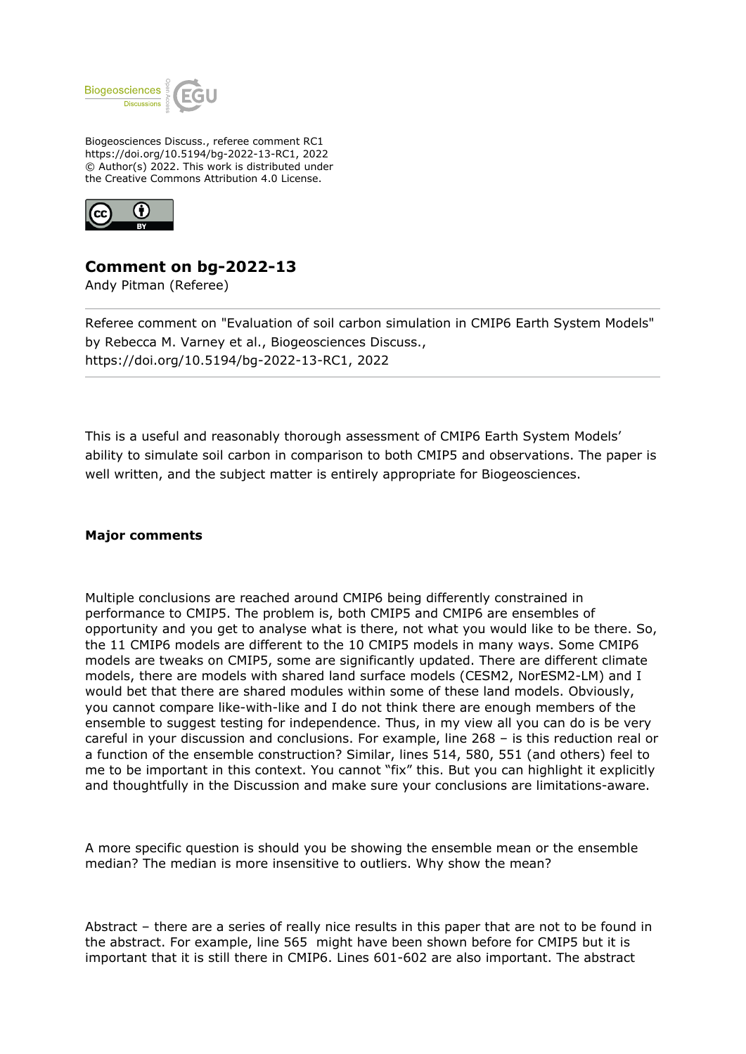

Biogeosciences Discuss., referee comment RC1 https://doi.org/10.5194/bg-2022-13-RC1, 2022 © Author(s) 2022. This work is distributed under the Creative Commons Attribution 4.0 License.



## **Comment on bg-2022-13**

Andy Pitman (Referee)

Referee comment on "Evaluation of soil carbon simulation in CMIP6 Earth System Models" by Rebecca M. Varney et al., Biogeosciences Discuss., https://doi.org/10.5194/bg-2022-13-RC1, 2022

This is a useful and reasonably thorough assessment of CMIP6 Earth System Models' ability to simulate soil carbon in comparison to both CMIP5 and observations. The paper is well written, and the subject matter is entirely appropriate for Biogeosciences.

## **Major comments**

Multiple conclusions are reached around CMIP6 being differently constrained in performance to CMIP5. The problem is, both CMIP5 and CMIP6 are ensembles of opportunity and you get to analyse what is there, not what you would like to be there. So, the 11 CMIP6 models are different to the 10 CMIP5 models in many ways. Some CMIP6 models are tweaks on CMIP5, some are significantly updated. There are different climate models, there are models with shared land surface models (CESM2, NorESM2-LM) and I would bet that there are shared modules within some of these land models. Obviously, you cannot compare like-with-like and I do not think there are enough members of the ensemble to suggest testing for independence. Thus, in my view all you can do is be very careful in your discussion and conclusions. For example, line 268 – is this reduction real or a function of the ensemble construction? Similar, lines 514, 580, 551 (and others) feel to me to be important in this context. You cannot "fix" this. But you can highlight it explicitly and thoughtfully in the Discussion and make sure your conclusions are limitations-aware.

A more specific question is should you be showing the ensemble mean or the ensemble median? The median is more insensitive to outliers. Why show the mean?

Abstract – there are a series of really nice results in this paper that are not to be found in the abstract. For example, line 565 might have been shown before for CMIP5 but it is important that it is still there in CMIP6. Lines 601-602 are also important. The abstract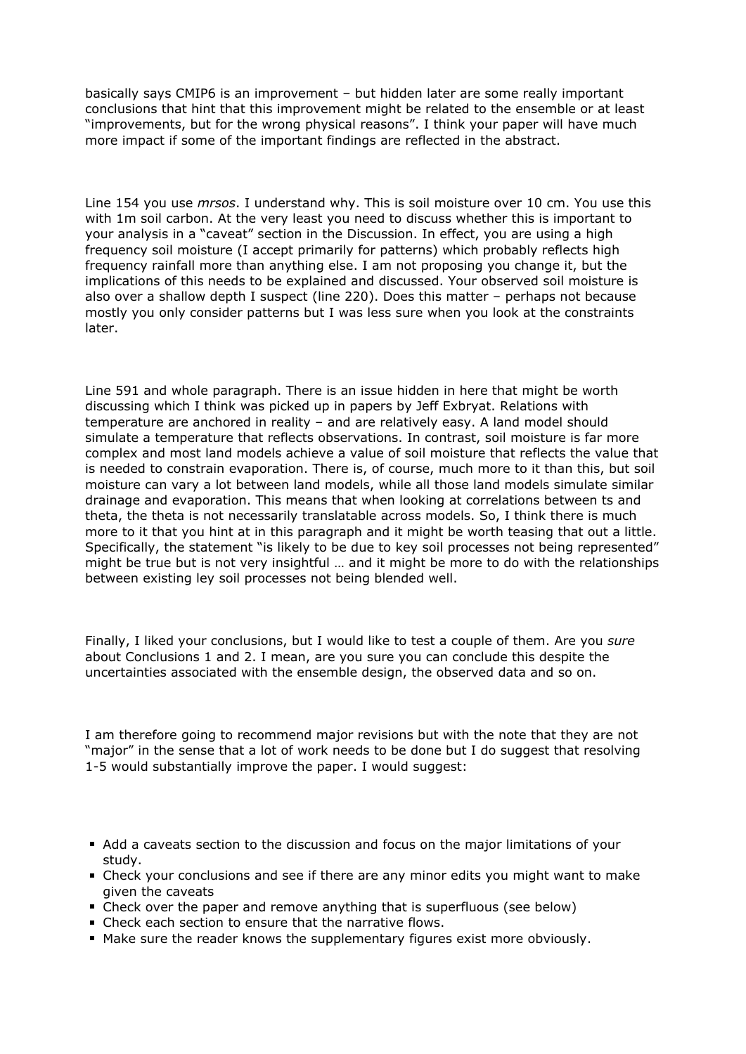basically says CMIP6 is an improvement – but hidden later are some really important conclusions that hint that this improvement might be related to the ensemble or at least "improvements, but for the wrong physical reasons". I think your paper will have much more impact if some of the important findings are reflected in the abstract.

Line 154 you use *mrsos*. I understand why. This is soil moisture over 10 cm. You use this with 1m soil carbon. At the very least you need to discuss whether this is important to your analysis in a "caveat" section in the Discussion. In effect, you are using a high frequency soil moisture (I accept primarily for patterns) which probably reflects high frequency rainfall more than anything else. I am not proposing you change it, but the implications of this needs to be explained and discussed. Your observed soil moisture is also over a shallow depth I suspect (line 220). Does this matter – perhaps not because mostly you only consider patterns but I was less sure when you look at the constraints later.

Line 591 and whole paragraph. There is an issue hidden in here that might be worth discussing which I think was picked up in papers by Jeff Exbryat. Relations with temperature are anchored in reality – and are relatively easy. A land model should simulate a temperature that reflects observations. In contrast, soil moisture is far more complex and most land models achieve a value of soil moisture that reflects the value that is needed to constrain evaporation. There is, of course, much more to it than this, but soil moisture can vary a lot between land models, while all those land models simulate similar drainage and evaporation. This means that when looking at correlations between ts and theta, the theta is not necessarily translatable across models. So, I think there is much more to it that you hint at in this paragraph and it might be worth teasing that out a little. Specifically, the statement "is likely to be due to key soil processes not being represented" might be true but is not very insightful … and it might be more to do with the relationships between existing ley soil processes not being blended well.

Finally, I liked your conclusions, but I would like to test a couple of them. Are you *sure* about Conclusions 1 and 2. I mean, are you sure you can conclude this despite the uncertainties associated with the ensemble design, the observed data and so on.

I am therefore going to recommend major revisions but with the note that they are not "major" in the sense that a lot of work needs to be done but I do suggest that resolving 1-5 would substantially improve the paper. I would suggest:

- Add a caveats section to the discussion and focus on the major limitations of your study.
- Check your conclusions and see if there are any minor edits you might want to make given the caveats
- Check over the paper and remove anything that is superfluous (see below)
- Check each section to ensure that the narrative flows.
- Make sure the reader knows the supplementary figures exist more obviously.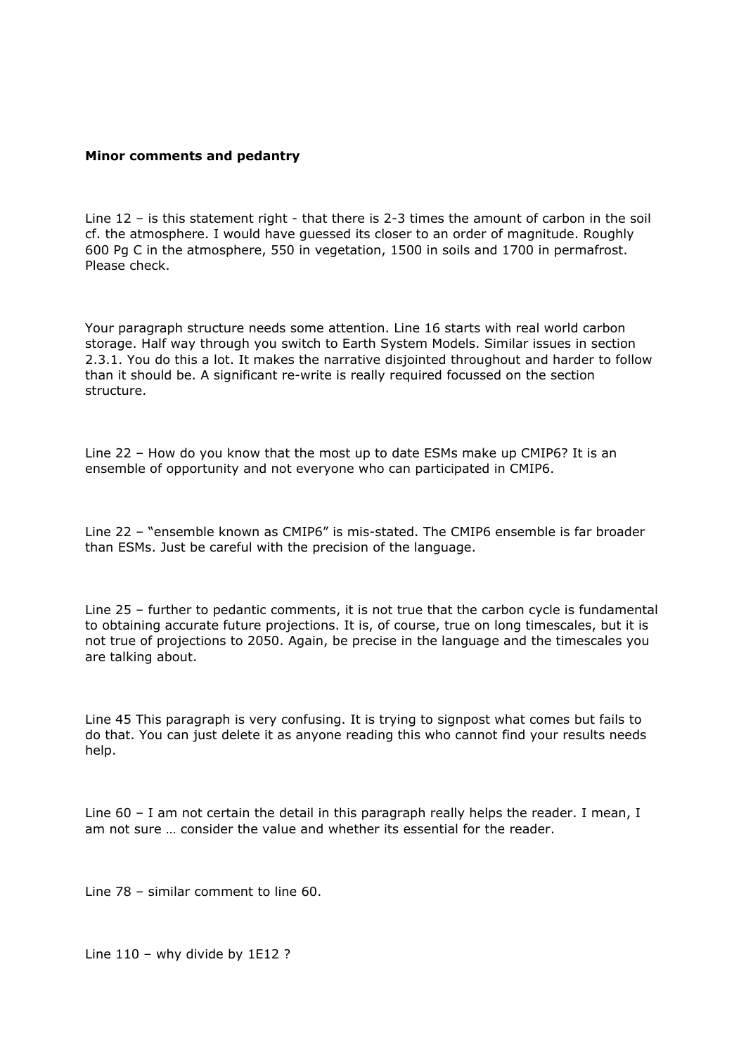## **Minor comments and pedantry**

Line 12 – is this statement right - that there is 2-3 times the amount of carbon in the soil cf. the atmosphere. I would have guessed its closer to an order of magnitude. Roughly 600 Pg C in the atmosphere, 550 in vegetation, 1500 in soils and 1700 in permafrost. Please check.

Your paragraph structure needs some attention. Line 16 starts with real world carbon storage. Half way through you switch to Earth System Models. Similar issues in section 2.3.1. You do this a lot. It makes the narrative disjointed throughout and harder to follow than it should be. A significant re-write is really required focussed on the section structure.

Line 22 – How do you know that the most up to date ESMs make up CMIP6? It is an ensemble of opportunity and not everyone who can participated in CMIP6.

Line 22 – "ensemble known as CMIP6" is mis-stated. The CMIP6 ensemble is far broader than ESMs. Just be careful with the precision of the language.

Line 25 – further to pedantic comments, it is not true that the carbon cycle is fundamental to obtaining accurate future projections. It is, of course, true on long timescales, but it is not true of projections to 2050. Again, be precise in the language and the timescales you are talking about.

Line 45 This paragraph is very confusing. It is trying to signpost what comes but fails to do that. You can just delete it as anyone reading this who cannot find your results needs help.

Line 60 – I am not certain the detail in this paragraph really helps the reader. I mean, I am not sure … consider the value and whether its essential for the reader.

Line 78 – similar comment to line 60.

Line 110 – why divide by 1E12 ?